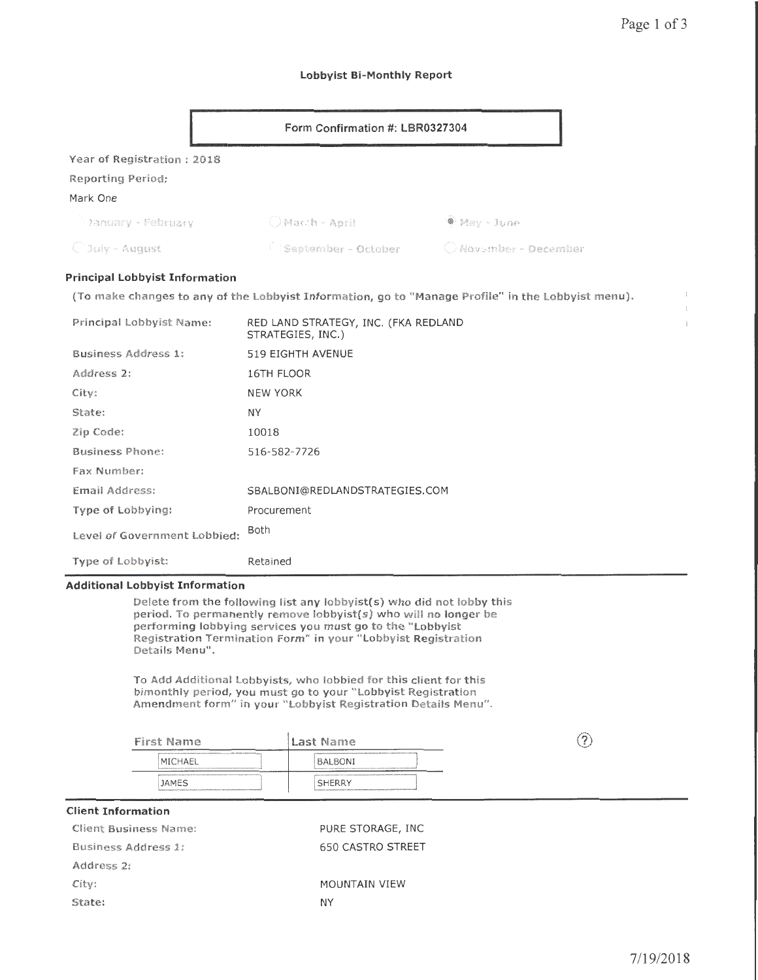$\overline{1}$  $\mathbf{i}$ 

### Lobbyist Bi-Monthly Report

|                                       | Form Confirmation #: LBR0327304 |                         |
|---------------------------------------|---------------------------------|-------------------------|
| Year of Registration: 2018            |                                 |                         |
| Reporting Period:                     |                                 |                         |
| Mark One                              |                                 |                         |
| <b>Danuary - February</b>             | O Macch - April                 | <sup>●</sup> May - June |
| $\bigcirc$ July - August              | September - October             | C November - December   |
| <b>Principal Lobbyist Information</b> |                                 |                         |

(To make changes to any of the Lobbyist Information, go to "Manage Profile" in the Lobbyist menu).

| Principal Lobbyist Name:     | RED LAND STRATEGY, INC. (FKA REDLAND<br>STRATEGIES, INC.) |
|------------------------------|-----------------------------------------------------------|
| Business Address 1:          | 519 EIGHTH AVENUE                                         |
| Address 2:                   | 16TH FLOOR                                                |
| City:                        | <b>NEW YORK</b>                                           |
| State:                       | ΝY                                                        |
| Zip Code:                    | 10018                                                     |
| <b>Business Phone:</b>       | 516-582-7726                                              |
| Fax Number:                  |                                                           |
| Email Address:               | SBALBONI@REDLANDSTRATEGIES.COM                            |
| Type of Lobbying:            | Procurement                                               |
| Level of Government Lobbied: | Both                                                      |
| Type of Lobbyist:            | Retained                                                  |

### Additional Lobbyist Information

Delete from the following list any lobbyist(s) who did not lobby this period. To permanently remove lobbyist(s) who will no longer be performing lobbying services you must go to the "Lobbyist Registration Termination Form" in your "Lobbyist Registration Details Menu".

To Add Additional Lobbyists, who lobbied for this client for this bimonthly period, you must go to your "Lobbyist Registration Amendment form" in your "Lobbyist Registration Details Menu".

| First Name                                                                                                                                                                                                                                                                                      | Last Name                                                                                                  | P. |
|-------------------------------------------------------------------------------------------------------------------------------------------------------------------------------------------------------------------------------------------------------------------------------------------------|------------------------------------------------------------------------------------------------------------|----|
| <b><i><u><i><u><b>ANAAFIATUTU ILIAARA</b></u></i></u></i></b><br><b><i><u>PERSONAL PROPERTY AND PERSONAL PROPERTY AND RESIDENCE PROPERTY AND RESIDENCE</u></i></b><br>MICHAEL<br>В полотоком полотоком по король и на просто после после после после программа полотоком полотоком полотоком по | A CONVERTING CONVERTING CONVERTING OF THE CONVERTING OF THE CONVERTING OF THE CONVERTING<br><b>BALBONI</b> |    |
| <b>JAMES</b>                                                                                                                                                                                                                                                                                    | www.communications.com/communications/and the communications.com/communications/and<br><b>SHERRY</b>       |    |

## Client Information

| Client Business Name: | PURE STORAGE, INC.       |
|-----------------------|--------------------------|
| Business Address 1:   | <b>650 CASTRO STREET</b> |
| Address 2:            |                          |
| City:                 | <b>MOUNTAIN VIEW</b>     |
| State:                | ΝY                       |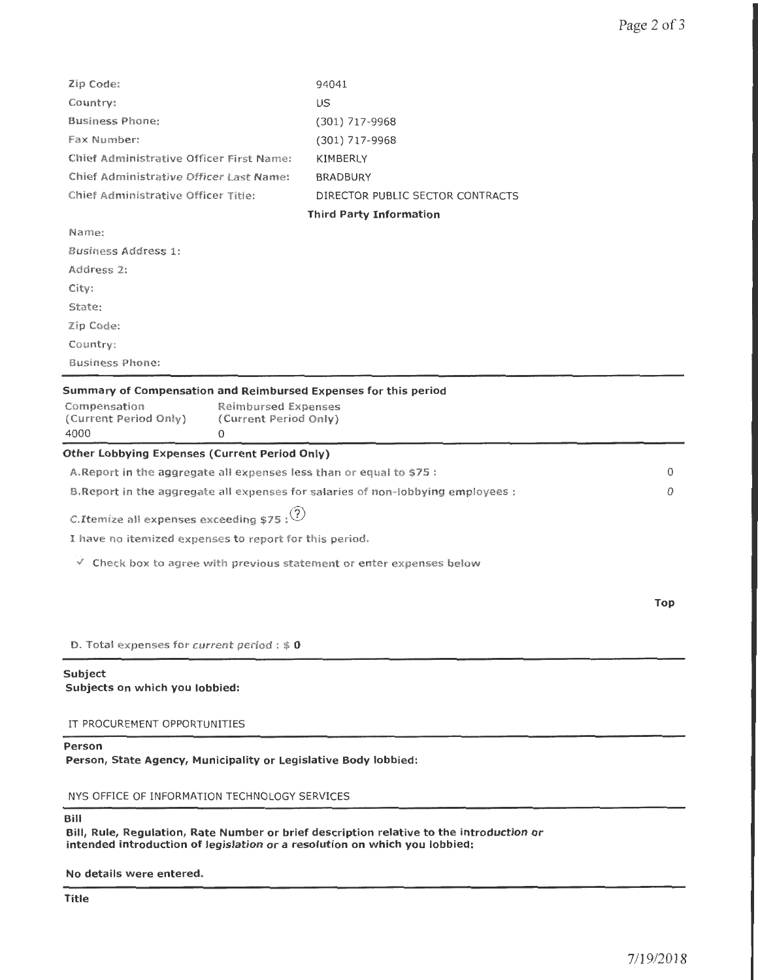| Zip Code:                                                                                                                                                                    | 94041                            |     |
|------------------------------------------------------------------------------------------------------------------------------------------------------------------------------|----------------------------------|-----|
| Country:                                                                                                                                                                     | US.                              |     |
| <b>Business Phone:</b>                                                                                                                                                       | (301) 717-9968                   |     |
| Fax Number:                                                                                                                                                                  | $(301)$ 717-9968                 |     |
| Chief Administrative Officer First Name:                                                                                                                                     | KIMBERLY                         |     |
| Chief Administrative Officer Last Name:                                                                                                                                      | <b>BRADBURY</b>                  |     |
| Chief Administrative Officer Title:                                                                                                                                          | DIRECTOR PUBLIC SECTOR CONTRACTS |     |
|                                                                                                                                                                              | <b>Third Party Information</b>   |     |
| Name:                                                                                                                                                                        |                                  |     |
| <b>Business Address 1:</b>                                                                                                                                                   |                                  |     |
| Address 2:                                                                                                                                                                   |                                  |     |
| City:                                                                                                                                                                        |                                  |     |
| State:                                                                                                                                                                       |                                  |     |
| $\mathbb{Z}ip$ Code:                                                                                                                                                         |                                  |     |
| Country:                                                                                                                                                                     |                                  |     |
| <b>Business Phone:</b>                                                                                                                                                       |                                  |     |
| Summary of Compensation and Reimbursed Expenses for this period<br>Compensation<br><b>Reimbursed Expenses</b><br>(Current Period Only)<br>(Current Period Only)<br>4000<br>0 |                                  |     |
| Other Lobbying Expenses (Current Period Only)                                                                                                                                |                                  |     |
| A. Report in the aggregate all expenses less than or equal to \$75 :                                                                                                         |                                  | 0   |
| B. Report in the aggregate all expenses for salaries of non-lobbying employees :                                                                                             |                                  | 0   |
| C.Itemize all expenses exceeding $$75$ : $(?)$                                                                                                                               |                                  |     |
| I have no itemized expenses to report for this period.                                                                                                                       |                                  |     |
| $\checkmark$ . Check box to agree with previous statement or enter expenses below                                                                                            |                                  |     |
|                                                                                                                                                                              |                                  | Top |
| D. Total expenses for current period : $$0$                                                                                                                                  |                                  |     |
| Subject<br>Subjects on which you lobbied:                                                                                                                                    |                                  |     |
| IT PROCUREMENT OPPORTUNITIES                                                                                                                                                 |                                  |     |
| Person<br>Person, State Agency, Municipality or Legislative Body lobbied:                                                                                                    |                                  |     |

NYS OFFICE OF INFORMATION TECHNOLOGY SERVICES

Bill

Bill, Rule, Regulation, Rate Number or brief description relative to the introduction or intended introduction of legislation or a resolution on which you lobbied:

No details were entered.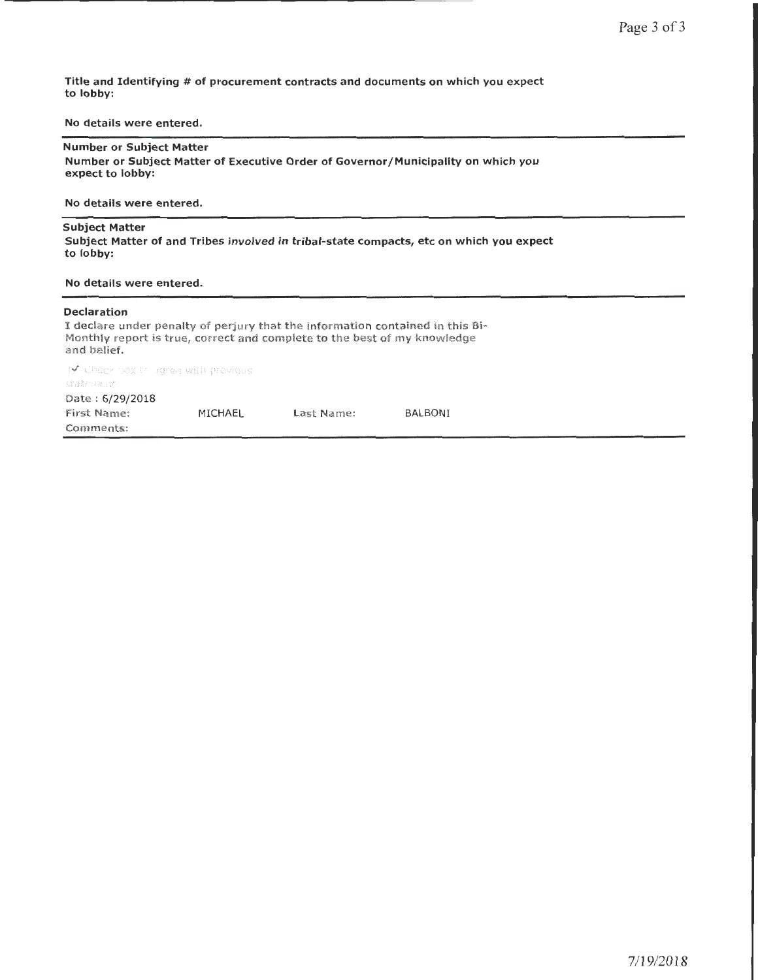Title and Identifying # of procurement contracts and documents on which you expect to lobby:

No details were entered.

## Number or Subject Matter

Number or Subject Matter of Executive Order of Governor/Municipality on which you expect to lobby:

No details were entered.

### Subject Matter

Subject Matter of and Tribes involved in tribal-state compacts, etc on which you expect to lobby:

#### No details were entered.

#### Declaration

I declare under penalty of perjury that the information contained in this Bi-Monthly report is true, correct and complete to the best of my knowledge and belief.

 $\mathbf{y}'$  check box this gree with previous state nent Date : 6/29/2018 First Name: MICHAEL Last Name: BALBONI Comments: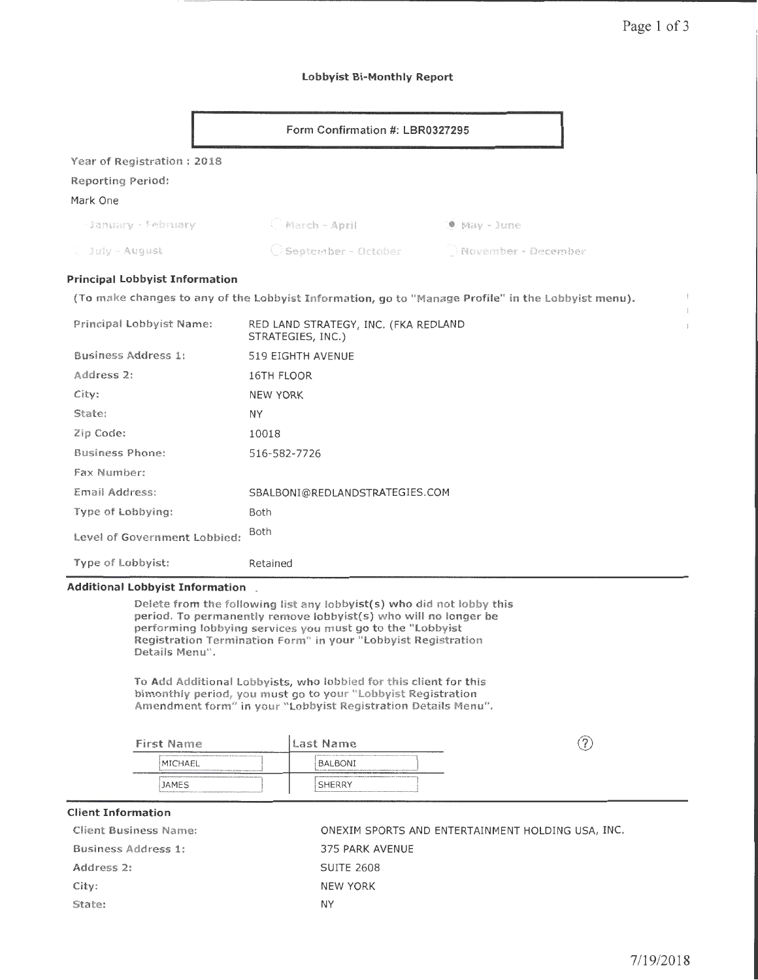ŧ

### Lobbyist Bi-Monthly Report

|                                                             | Form Confirmation #: LBR0327295 |                     |  |
|-------------------------------------------------------------|---------------------------------|---------------------|--|
| Year of Registration: 2018<br>Reporting Period:<br>Mark One |                                 |                     |  |
| January · February                                          | C March - April                 | .® May - June       |  |
| . July - August                                             | Geptember - October             | November - December |  |

# Principal Lobbyist Information

(To make changes to any of the lobbyist Information, go to "Manage Profile" in the lobbyist menu).

| Principal Lobbyist Name:     | RED LAND STRATEGY, INC. (FKA REDLAND<br>STRATEGIES, INC.) |
|------------------------------|-----------------------------------------------------------|
| Business Address 1:          | 519 EIGHTH AVENUE                                         |
| Address 2:                   | 16TH FLOOR                                                |
| City:                        | <b>NEW YORK</b>                                           |
| State:                       | <b>NY</b>                                                 |
| Zip Code:                    | 10018                                                     |
| <b>Business Phone:</b>       | 516-582-7726                                              |
| Fax Number:                  |                                                           |
| Email Address:               | SBALBONI@REDLANDSTRATEGIES.COM                            |
| Type of Lobbying:            | <b>Both</b>                                               |
| Level of Government Lobbied: | <b>Both</b>                                               |
| <b>Type of Lobbyist:</b>     | Retained                                                  |

# Additional Lobbyist Information \_

Delete from the following list any lobbyist(s) who did not lobby this period. To permanently remove lobbyist(s) who will no longer be performing lobbying services you must go to the "Lobbyist Registration Termination Form" in your "Lobbyist Registration Details Menu".

To Add Additional Lobbyists, who lobbied for this client for this bimonthly period, you must go to your "Lobbyist Registration Amendment form" in your "Lobbyist Registration Details Menu".

| <b>First Name</b>                                                                                                                                                                                                                         | Last Name                                                                                                                                                                                         | r |
|-------------------------------------------------------------------------------------------------------------------------------------------------------------------------------------------------------------------------------------------|---------------------------------------------------------------------------------------------------------------------------------------------------------------------------------------------------|---|
| MICHAEL<br>however environment environment and contains the contract of the contact of the contact of the contact of the contact of the contact of the contact of the contact of the contact of the contact of the contact of the contact | interactions and are are controlled and the consequent or more term and consequent of the control<br>BALBONI<br>ma como conversionario conversiones escritores escritores en controversiones este |   |
| ganaannoonaarraarraarraarraarraarraarraa manaannoonannoonaarraarra<br><b>JAMES</b>                                                                                                                                                        | <b>SHERRY</b><br><u>Электронны масли алектронных материальных составленных составляется составляется на составляется в составительности</u>                                                       |   |

## Client Information

| Client Business Name: | ONEXIM SPORTS AND ENTERTAINMENT HOLDING USA, INC. |
|-----------------------|---------------------------------------------------|
| Business Address 1:   | 375 PARK AVENUE                                   |
| Address 2:            | <b>SUITE 2608</b>                                 |
| City:                 | <b>NEW YORK</b>                                   |
| State:                | ΝY                                                |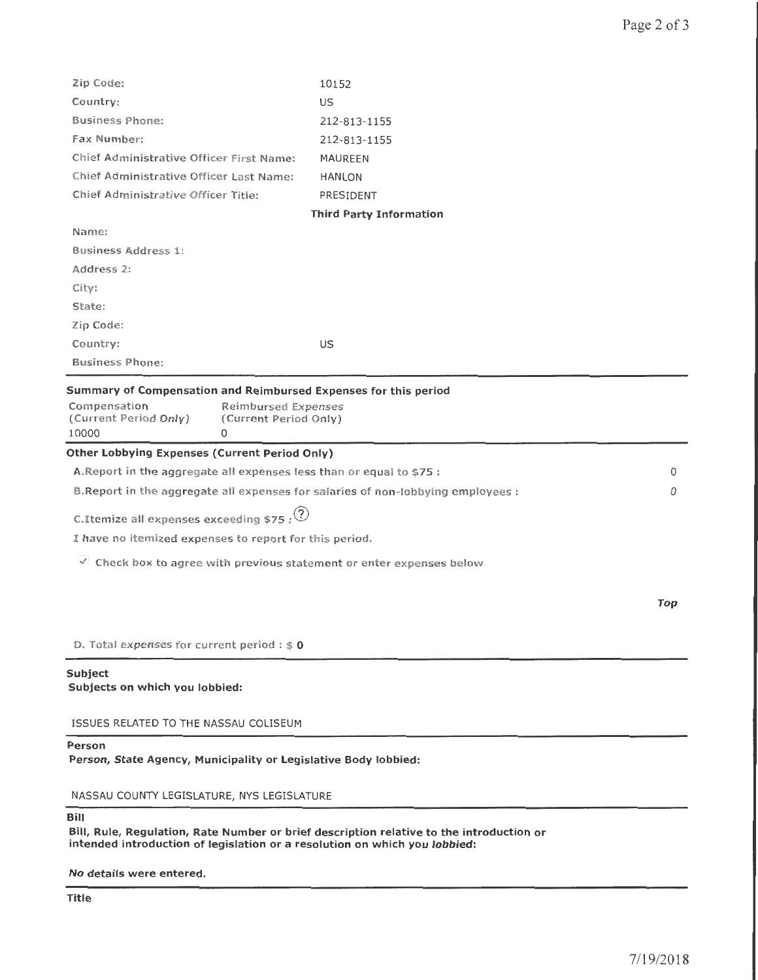| Zip Code:                                                                        | 10152                          |     |
|----------------------------------------------------------------------------------|--------------------------------|-----|
| Country:                                                                         | US                             |     |
| <b>Business Phone:</b>                                                           | 212-813-1155                   |     |
| Fax Number:                                                                      | 212-813-1155                   |     |
| Chief Administrative Officer First Name:                                         | MAUREEN                        |     |
| Chief Administrative Officer Last Name:                                          | <b>HANLON</b>                  |     |
| Chief Administrative Officer Title:                                              | PRESIDENT                      |     |
|                                                                                  | <b>Third Party Information</b> |     |
| Name:                                                                            |                                |     |
| Business Address 1:                                                              |                                |     |
| Address 2:                                                                       |                                |     |
| City:                                                                            |                                |     |
| State:                                                                           |                                |     |
| $\mathbb{Z}$ ip Code:                                                            |                                |     |
| Country:                                                                         | US                             |     |
| <b>Business Phone:</b>                                                           |                                |     |
| Summary of Compensation and Reimbursed Expenses for this period                  |                                |     |
| Compensation<br><b>Reimbursed Expenses</b>                                       |                                |     |
| (Current Period Only)<br>(Current Period Only)                                   |                                |     |
| 10000<br>$\Omega$                                                                |                                |     |
| <b>Other Lobbying Expenses (Current Period Only)</b>                             |                                |     |
| A. Report in the aggregate all expenses less than or equal to \$75 :             |                                | 0   |
| B. Report in the aggregate all expenses for salaries of non-lobbying employees : |                                | 0   |
| C.Itemize all expenses exceeding \$75 : $(2)$                                    |                                |     |
| I have no itemized expenses to report for this period.                           |                                |     |
| $\vee$ Check box to agree with previous statement or enter expenses below        |                                |     |
|                                                                                  |                                |     |
|                                                                                  |                                | Top |
|                                                                                  |                                |     |
| D. Total expenses for current period : $$0$                                      |                                |     |
| Subject                                                                          |                                |     |
| Subjects on which you lobbied:                                                   |                                |     |
| ISSUES RELATED TO THE NASSAU COLISEUM                                            |                                |     |
| Person<br>Person, State Agency, Municipality or Legislative Body lobbied:        |                                |     |
| NASSAU COUNTY LEGISLATURE, NYS LEGISLATURE                                       |                                |     |
|                                                                                  |                                |     |

Bill

Bill, Rule, Regulation, Rate Number or brief description relative to the introduction or intended introduction of legislation or a resolution on which you lobbied:

No details were entered.